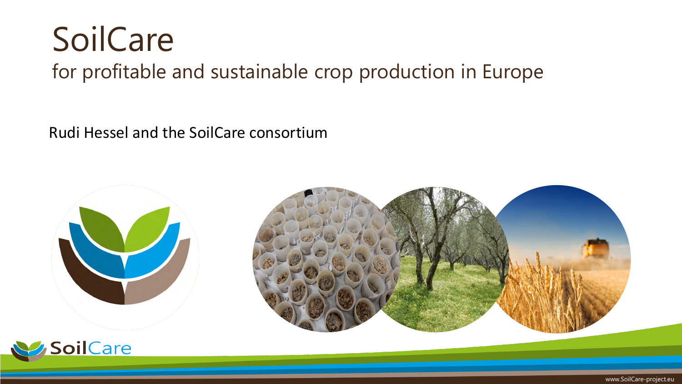## SoilCare

#### for profitable and sustainable crop production in Europe

Rudi Hessel and the SoilCare consortium





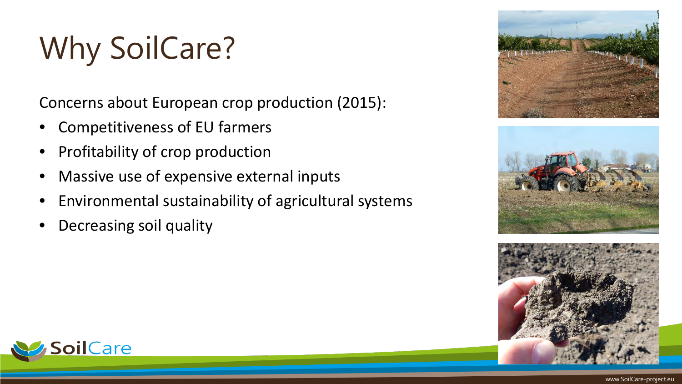# Why SoilCare?

Concerns about European crop production (2015):

- Competitiveness of EU farmers
- Profitability of crop production
- Massive use of expensive external inputs
- Environmental sustainability of agricultural systems
- Decreasing soil quality







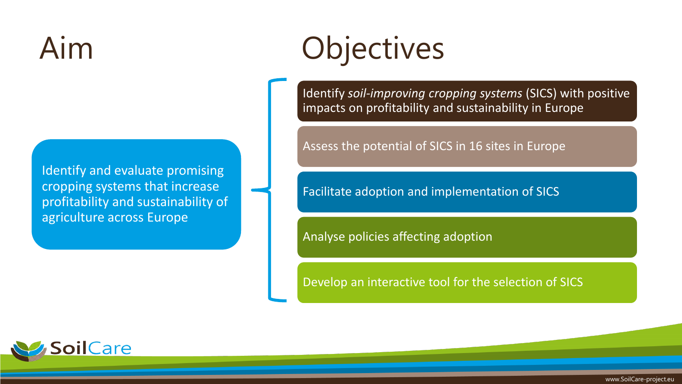#### Aim

Identify and evaluate promising cropping systems that increase profitability and sustainability of agriculture across Europe

# **Objectives**

Identify *soil-improving cropping systems* (SICS) with positive impacts on profitability and sustainability in Europe

Assess the potential of SICS in 16 sites in Europe

Facilitate adoption and implementation of SICS

Analyse policies affecting adoption

Develop an interactive tool for the selection of SICS

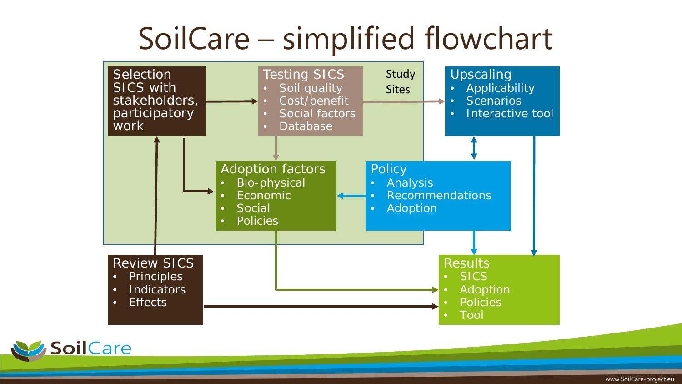#### SoilCare – simplified flowchart





www.SoilCare-project.eu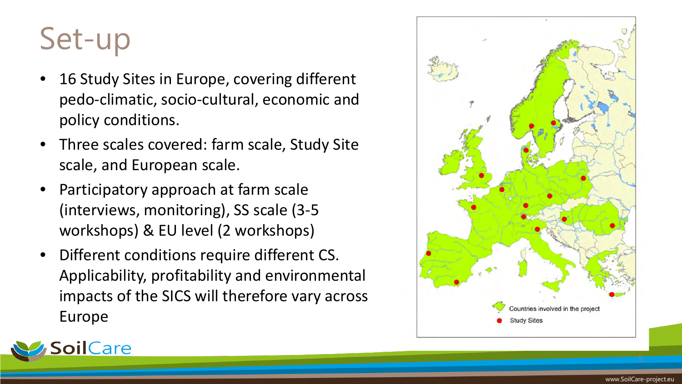### Set-up

- 16 Study Sites in Europe, covering different pedo-climatic, socio-cultural, economic and policy conditions.
- Three scales covered: farm scale, Study Site scale, and European scale.
- Participatory approach at farm scale (interviews, monitoring), SS scale (3-5 workshops) & EU level (2 workshops)
- Different conditions require different CS. Applicability, profitability and environmental impacts of the SICS will therefore vary across Europe



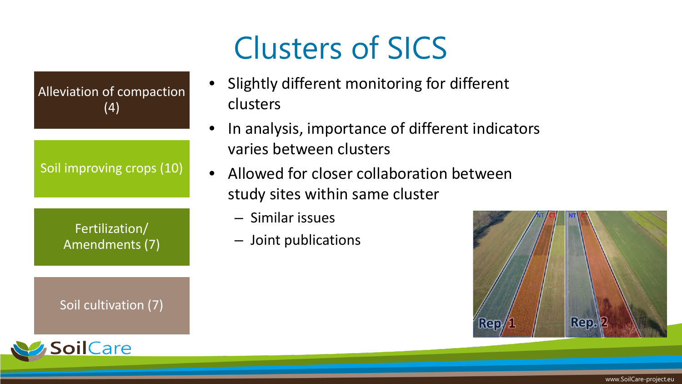### Clusters of SICS

Alleviation of compaction (4)

Soil improving crops (10)

Fertilization/ Amendments (7)

Soil cultivation (7)



• Slightly different monitoring for different clusters

- In analysis, importance of different indicators varies between clusters
- Allowed for closer collaboration between study sites within same cluster
	- Similar issues
	- Joint publications

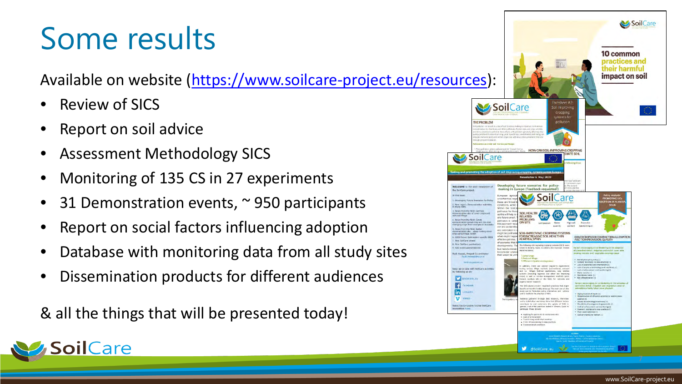#### Some results

Available on website ([https://www.soilcare-project.eu/resources\)](https://eur03.safelinks.protection.outlook.com/?url=https%3A%2F%2Fwww.soilcare-project.eu%2Fresources&data=04%7C01%7Crudi.hessel%40wur.nl%7Ca304b4d8fe14472d2aec08d9297f60e4%7C27d137e5761f4dc1af88d26430abb18f%7C0%7C0%7C637586449329142553%7CUnknown%7CTWFpbGZsb3d8eyJWIjoiMC4wLjAwMDAiLCJQIjoiV2luMzIiLCJBTiI6Ik1haWwiLCJXVCI6Mn0%3D%7C1000&sdata=g1EE%2B46smp%2FxkbDatTA7Wx2HjhJX4%2B7mnrpkpmpJoL4%3D&reserved=0):

• Review of SICS

**pil**Care

- Report on soil advice
- Assessment Methodology SICS
- Monitoring of 135 CS in 27 experiments
- 31 Demonstration events,  $\sim$  950 participants
- Report on social factors influencing adoption
- Database with monitoring data from all study sites
- Dissemination products for different audiences

& all the things that will be presented today!

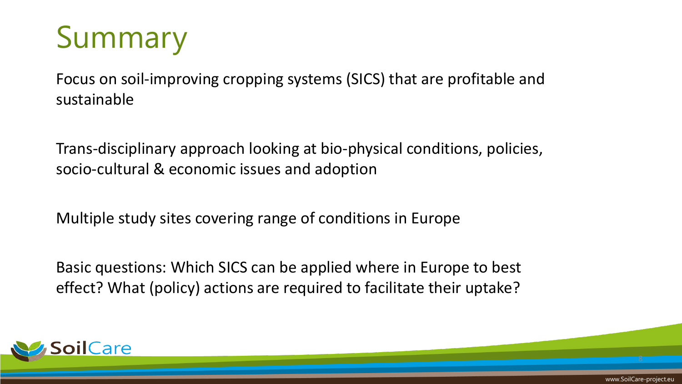### Summary

Focus on soil-improving cropping systems (SICS) that are profitable and sustainable

Trans-disciplinary approach looking at bio-physical conditions, policies, socio-cultural & economic issues and adoption

Multiple study sites covering range of conditions in Europe

Basic questions: Which SICS can be applied where in Europe to best effect? What (policy) actions are required to facilitate their uptake?